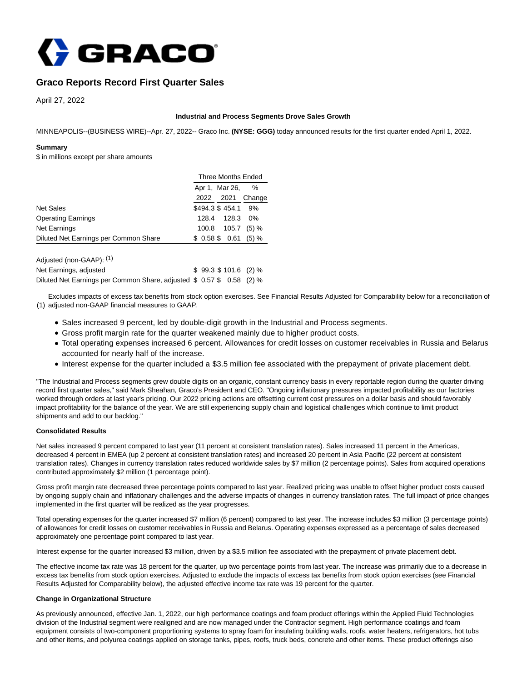

# **Graco Reports Record First Quarter Sales**

April 27, 2022

### **Industrial and Process Segments Drove Sales Growth**

MINNEAPOLIS--(BUSINESS WIRE)--Apr. 27, 2022-- Graco Inc. **(NYSE: GGG)** today announced results for the first quarter ended April 1, 2022.

#### **Summary**

\$ in millions except per share amounts

|                                       |           | <b>Three Months Ended</b> |        |  |  |
|---------------------------------------|-----------|---------------------------|--------|--|--|
|                                       |           | Apr 1, Mar 26,            |        |  |  |
|                                       | 2022 2021 |                           | Change |  |  |
| <b>Net Sales</b>                      |           | \$494.3 \$454.1 9%        |        |  |  |
| <b>Operating Earnings</b>             | 128.4     | 128.3                     | $0\%$  |  |  |
| <b>Net Earnings</b>                   | 100.8     | 105.7                     | (5) %  |  |  |
| Diluted Net Earnings per Common Share |           | \$0.58\$0.61              | (5) %  |  |  |
|                                       |           |                           |        |  |  |

| Adjusted (non-GAAP): (1)                                              |                    |  |
|-----------------------------------------------------------------------|--------------------|--|
| Net Earnings, adjusted                                                | $$99.3$101.6(2)\%$ |  |
| Diluted Net Earnings per Common Share, adjusted \$ 0.57 \$ 0.58 (2) % |                    |  |

(1) adjusted non-GAAP financial measures to GAAP. Excludes impacts of excess tax benefits from stock option exercises. See Financial Results Adjusted for Comparability below for a reconciliation of

- Sales increased 9 percent, led by double-digit growth in the Industrial and Process segments.
- Gross profit margin rate for the quarter weakened mainly due to higher product costs.
- Total operating expenses increased 6 percent. Allowances for credit losses on customer receivables in Russia and Belarus accounted for nearly half of the increase.
- Interest expense for the quarter included a \$3.5 million fee associated with the prepayment of private placement debt.

"The Industrial and Process segments grew double digits on an organic, constant currency basis in every reportable region during the quarter driving record first quarter sales," said Mark Sheahan, Graco's President and CEO. "Ongoing inflationary pressures impacted profitability as our factories worked through orders at last year's pricing. Our 2022 pricing actions are offsetting current cost pressures on a dollar basis and should favorably impact profitability for the balance of the year. We are still experiencing supply chain and logistical challenges which continue to limit product shipments and add to our backlog."

# **Consolidated Results**

Net sales increased 9 percent compared to last year (11 percent at consistent translation rates). Sales increased 11 percent in the Americas, decreased 4 percent in EMEA (up 2 percent at consistent translation rates) and increased 20 percent in Asia Pacific (22 percent at consistent translation rates). Changes in currency translation rates reduced worldwide sales by \$7 million (2 percentage points). Sales from acquired operations contributed approximately \$2 million (1 percentage point).

Gross profit margin rate decreased three percentage points compared to last year. Realized pricing was unable to offset higher product costs caused by ongoing supply chain and inflationary challenges and the adverse impacts of changes in currency translation rates. The full impact of price changes implemented in the first quarter will be realized as the year progresses.

Total operating expenses for the quarter increased \$7 million (6 percent) compared to last year. The increase includes \$3 million (3 percentage points) of allowances for credit losses on customer receivables in Russia and Belarus. Operating expenses expressed as a percentage of sales decreased approximately one percentage point compared to last year.

Interest expense for the quarter increased \$3 million, driven by a \$3.5 million fee associated with the prepayment of private placement debt.

The effective income tax rate was 18 percent for the quarter, up two percentage points from last year. The increase was primarily due to a decrease in excess tax benefits from stock option exercises. Adjusted to exclude the impacts of excess tax benefits from stock option exercises (see Financial Results Adjusted for Comparability below), the adjusted effective income tax rate was 19 percent for the quarter.

# **Change in Organizational Structure**

As previously announced, effective Jan. 1, 2022, our high performance coatings and foam product offerings within the Applied Fluid Technologies division of the Industrial segment were realigned and are now managed under the Contractor segment. High performance coatings and foam equipment consists of two-component proportioning systems to spray foam for insulating building walls, roofs, water heaters, refrigerators, hot tubs and other items, and polyurea coatings applied on storage tanks, pipes, roofs, truck beds, concrete and other items. These product offerings also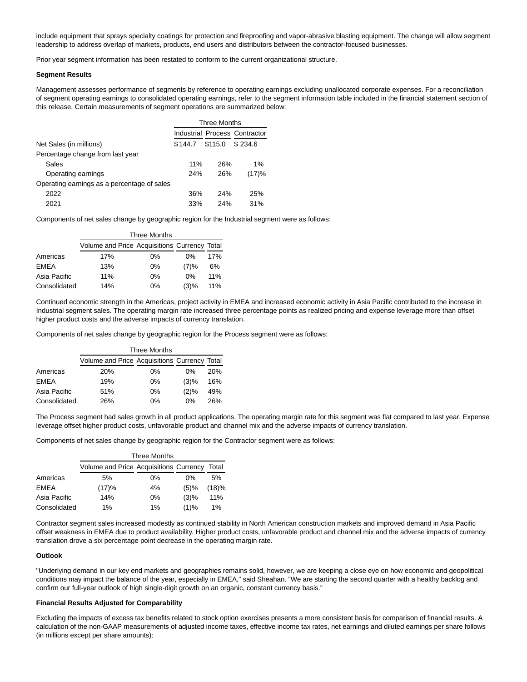include equipment that sprays specialty coatings for protection and fireproofing and vapor-abrasive blasting equipment. The change will allow segment leadership to address overlap of markets, products, end users and distributors between the contractor-focused businesses.

Prior year segment information has been restated to conform to the current organizational structure.

#### **Segment Results**

Management assesses performance of segments by reference to operating earnings excluding unallocated corporate expenses. For a reconciliation of segment operating earnings to consolidated operating earnings, refer to the segment information table included in the financial statement section of this release. Certain measurements of segment operations are summarized below:

|                                             | <b>Three Months</b> |         |                               |  |
|---------------------------------------------|---------------------|---------|-------------------------------|--|
|                                             |                     |         | Industrial Process Contractor |  |
| Net Sales (in millions)                     | \$144.7             | \$115.0 | \$234.6                       |  |
| Percentage change from last year            |                     |         |                               |  |
| Sales                                       | 11%                 | 26%     | $1\%$                         |  |
| Operating earnings                          | 24%                 | 26%     | (17)%                         |  |
| Operating earnings as a percentage of sales |                     |         |                               |  |
| 2022                                        | 36%                 | 24%     | 25%                           |  |
| 2021                                        | 33%                 | 24%     | 31%                           |  |

Components of net sales change by geographic region for the Industrial segment were as follows:

|              | <b>Three Months</b>                          |       |       |     |
|--------------|----------------------------------------------|-------|-------|-----|
|              | Volume and Price Acquisitions Currency Total |       |       |     |
| Americas     | 17%                                          | $0\%$ | 0%    | 17% |
| <b>EMEA</b>  | 13%                                          | $0\%$ | (7)%  | 6%  |
| Asia Pacific | 11%                                          | $0\%$ | $0\%$ | 11% |
| Consolidated | 14%                                          | $0\%$ | (3)%  | 11% |

Continued economic strength in the Americas, project activity in EMEA and increased economic activity in Asia Pacific contributed to the increase in Industrial segment sales. The operating margin rate increased three percentage points as realized pricing and expense leverage more than offset higher product costs and the adverse impacts of currency translation.

Components of net sales change by geographic region for the Process segment were as follows:

|              | <b>Three Months</b>                          |       |       |            |
|--------------|----------------------------------------------|-------|-------|------------|
|              | Volume and Price Acquisitions Currency Total |       |       |            |
| Americas     | 20%                                          | $0\%$ | $0\%$ | <b>20%</b> |
| <b>EMEA</b>  | 19%                                          | $0\%$ | (3)%  | 16%        |
| Asia Pacific | 51%                                          | $0\%$ | (2)%  | 49%        |
| Consolidated | 26%                                          | $0\%$ | $0\%$ | 26%        |

The Process segment had sales growth in all product applications. The operating margin rate for this segment was flat compared to last year. Expense leverage offset higher product costs, unfavorable product and channel mix and the adverse impacts of currency translation.

Components of net sales change by geographic region for the Contractor segment were as follows:

|              | <b>Three Months</b>                    |       |      |       |
|--------------|----------------------------------------|-------|------|-------|
|              | Volume and Price Acquisitions Currency |       |      | Total |
| Americas     | 5%                                     | $0\%$ | 0%   | 5%    |
| EMEA         | (17)%                                  | 4%    | (5)% | (18)% |
| Asia Pacific | 14%                                    | $0\%$ | (3)% | 11%   |
| Consolidated | 1%                                     | $1\%$ | (1)% | 1%    |

Contractor segment sales increased modestly as continued stability in North American construction markets and improved demand in Asia Pacific offset weakness in EMEA due to product availability. Higher product costs, unfavorable product and channel mix and the adverse impacts of currency translation drove a six percentage point decrease in the operating margin rate.

#### **Outlook**

"Underlying demand in our key end markets and geographies remains solid, however, we are keeping a close eye on how economic and geopolitical conditions may impact the balance of the year, especially in EMEA," said Sheahan. "We are starting the second quarter with a healthy backlog and confirm our full-year outlook of high single-digit growth on an organic, constant currency basis."

# **Financial Results Adjusted for Comparability**

Excluding the impacts of excess tax benefits related to stock option exercises presents a more consistent basis for comparison of financial results. A calculation of the non-GAAP measurements of adjusted income taxes, effective income tax rates, net earnings and diluted earnings per share follows (in millions except per share amounts):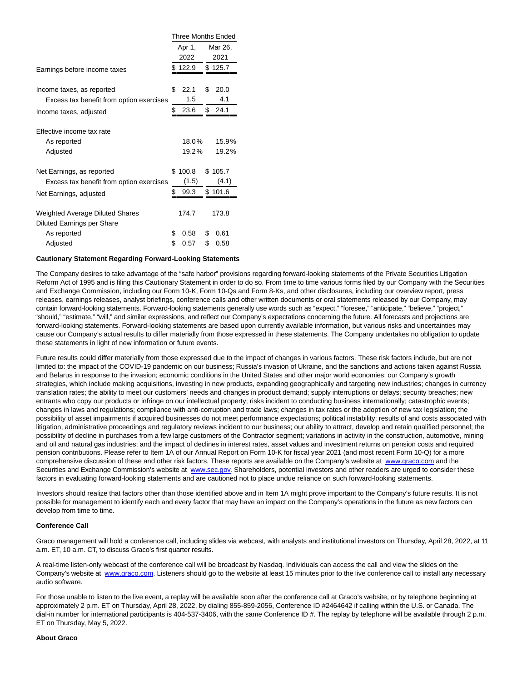|                                          | Three Months Ended |         |         |         |
|------------------------------------------|--------------------|---------|---------|---------|
|                                          |                    | Apr 1,  | Mar 26, |         |
|                                          |                    | 2022    |         | 2021    |
| Earnings before income taxes             |                    | \$122.9 |         | \$125.7 |
|                                          |                    |         |         |         |
| Income taxes, as reported                | \$                 | 22.1    | \$      | 20.0    |
| Excess tax benefit from option exercises |                    | 1.5     |         | 4.1     |
| Income taxes, adjusted                   | \$                 | 23.6    | \$      | 24.1    |
| Effective income tax rate                |                    |         |         |         |
| As reported                              |                    | 18.0%   |         | 15.9%   |
| Adjusted                                 |                    | 19.2%   |         | 19.2%   |
| Net Earnings, as reported                |                    | \$100.8 |         | \$105.7 |
| Excess tax benefit from option exercises |                    | (1.5)   |         | (4.1)   |
| Net Earnings, adjusted                   | \$                 | 99.3    |         | \$101.6 |
| Weighted Average Diluted Shares          |                    | 174.7   |         | 173.8   |
| Diluted Earnings per Share               |                    |         |         |         |
| As reported                              | \$                 | 0.58    | \$      | 0.61    |
| Adjusted                                 | \$                 | 0.57    | \$      | 0.58    |

#### **Cautionary Statement Regarding Forward-Looking Statements**

The Company desires to take advantage of the "safe harbor" provisions regarding forward-looking statements of the Private Securities Litigation Reform Act of 1995 and is filing this Cautionary Statement in order to do so. From time to time various forms filed by our Company with the Securities and Exchange Commission, including our Form 10-K, Form 10-Qs and Form 8-Ks, and other disclosures, including our overview report, press releases, earnings releases, analyst briefings, conference calls and other written documents or oral statements released by our Company, may contain forward-looking statements. Forward-looking statements generally use words such as "expect," "foresee," "anticipate," "believe," "project," "should," "estimate," "will," and similar expressions, and reflect our Company's expectations concerning the future. All forecasts and projections are forward-looking statements. Forward-looking statements are based upon currently available information, but various risks and uncertainties may cause our Company's actual results to differ materially from those expressed in these statements. The Company undertakes no obligation to update these statements in light of new information or future events.

Future results could differ materially from those expressed due to the impact of changes in various factors. These risk factors include, but are not limited to: the impact of the COVID-19 pandemic on our business; Russia's invasion of Ukraine, and the sanctions and actions taken against Russia and Belarus in response to the invasion; economic conditions in the United States and other major world economies; our Company's growth strategies, which include making acquisitions, investing in new products, expanding geographically and targeting new industries; changes in currency translation rates; the ability to meet our customers' needs and changes in product demand; supply interruptions or delays; security breaches; new entrants who copy our products or infringe on our intellectual property; risks incident to conducting business internationally; catastrophic events; changes in laws and regulations; compliance with anti-corruption and trade laws; changes in tax rates or the adoption of new tax legislation; the possibility of asset impairments if acquired businesses do not meet performance expectations; political instability; results of and costs associated with litigation, administrative proceedings and regulatory reviews incident to our business; our ability to attract, develop and retain qualified personnel; the possibility of decline in purchases from a few large customers of the Contractor segment; variations in activity in the construction, automotive, mining and oil and natural gas industries; and the impact of declines in interest rates, asset values and investment returns on pension costs and required pension contributions. Please refer to Item 1A of our Annual Report on Form 10-K for fiscal year 2021 (and most recent Form 10-Q) for a more comprehensive discussion of these and other risk factors. These reports are available on the Company's website at [www.graco.com a](https://cts.businesswire.com/ct/CT?id=smartlink&url=http%3A%2F%2Fwww.graco.com&esheet=52699739&newsitemid=20220427005957&lan=en-US&anchor=www.graco.com&index=1&md5=bfac1d84559bf8856956e30109d161f2)nd the Securities and Exchange Commission's website at [www.sec.gov.](https://cts.businesswire.com/ct/CT?id=smartlink&url=http%3A%2F%2Fwww.sec.gov&esheet=52699739&newsitemid=20220427005957&lan=en-US&anchor=www.sec.gov&index=2&md5=cd516e5a85ec93e3fcfb4eb8e4424465) Shareholders, potential investors and other readers are urged to consider these factors in evaluating forward-looking statements and are cautioned not to place undue reliance on such forward-looking statements.

Investors should realize that factors other than those identified above and in Item 1A might prove important to the Company's future results. It is not possible for management to identify each and every factor that may have an impact on the Company's operations in the future as new factors can develop from time to time.

# **Conference Call**

Graco management will hold a conference call, including slides via webcast, with analysts and institutional investors on Thursday, April 28, 2022, at 11 a.m. ET, 10 a.m. CT, to discuss Graco's first quarter results.

A real-time listen-only webcast of the conference call will be broadcast by Nasdaq. Individuals can access the call and view the slides on the Company's website at [www.graco.com.](https://cts.businesswire.com/ct/CT?id=smartlink&url=http%3A%2F%2Fwww.graco.com&esheet=52699739&newsitemid=20220427005957&lan=en-US&anchor=www.graco.com&index=3&md5=8241539b2dcfc04818a34c01dc05aa3a) Listeners should go to the website at least 15 minutes prior to the live conference call to install any necessary audio software.

For those unable to listen to the live event, a replay will be available soon after the conference call at Graco's website, or by telephone beginning at approximately 2 p.m. ET on Thursday, April 28, 2022, by dialing 855-859-2056, Conference ID #2464642 if calling within the U.S. or Canada. The dial-in number for international participants is 404-537-3406, with the same Conference ID #. The replay by telephone will be available through 2 p.m. ET on Thursday, May 5, 2022.

#### **About Graco**